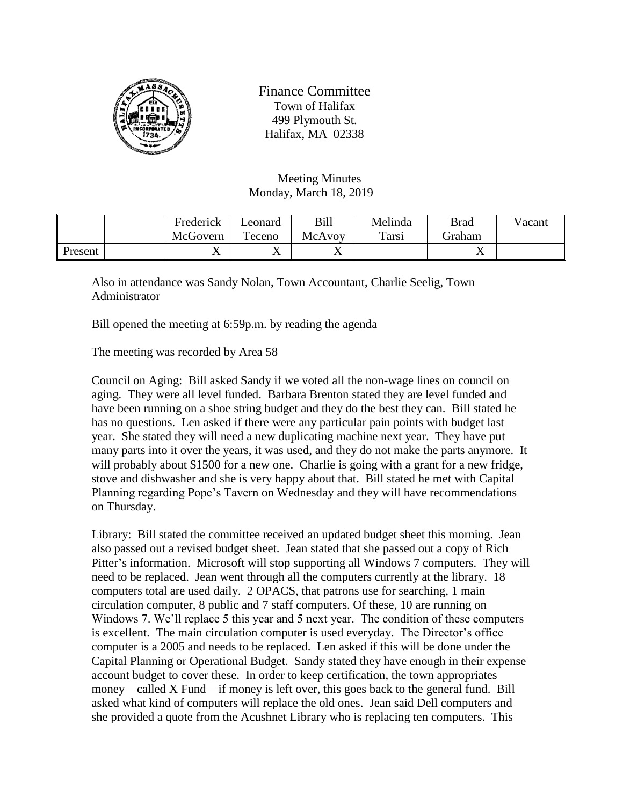

Finance Committee Town of Halifax 499 Plymouth St. Halifax, MA 02338

## Meeting Minutes Monday, March 18, 2019

|         | Frederick | Leonard | Bill   | Melinda | <b>Brad</b> | Vacant |
|---------|-----------|---------|--------|---------|-------------|--------|
|         | McGovern  | Teceno  | McAvov | Tars1   | Graham      |        |
| Present | ∡⊾        | ∡       | ◢▴     |         | ∡           |        |

Also in attendance was Sandy Nolan, Town Accountant, Charlie Seelig, Town Administrator

Bill opened the meeting at 6:59p.m. by reading the agenda

The meeting was recorded by Area 58

Council on Aging: Bill asked Sandy if we voted all the non-wage lines on council on aging. They were all level funded. Barbara Brenton stated they are level funded and have been running on a shoe string budget and they do the best they can. Bill stated he has no questions. Len asked if there were any particular pain points with budget last year. She stated they will need a new duplicating machine next year. They have put many parts into it over the years, it was used, and they do not make the parts anymore. It will probably about \$1500 for a new one. Charlie is going with a grant for a new fridge, stove and dishwasher and she is very happy about that. Bill stated he met with Capital Planning regarding Pope's Tavern on Wednesday and they will have recommendations on Thursday.

Library: Bill stated the committee received an updated budget sheet this morning. Jean also passed out a revised budget sheet. Jean stated that she passed out a copy of Rich Pitter's information. Microsoft will stop supporting all Windows 7 computers. They will need to be replaced. Jean went through all the computers currently at the library. 18 computers total are used daily. 2 OPACS, that patrons use for searching, 1 main circulation computer, 8 public and 7 staff computers. Of these, 10 are running on Windows 7. We'll replace 5 this year and 5 next year. The condition of these computers is excellent. The main circulation computer is used everyday. The Director's office computer is a 2005 and needs to be replaced. Len asked if this will be done under the Capital Planning or Operational Budget. Sandy stated they have enough in their expense account budget to cover these. In order to keep certification, the town appropriates money – called X Fund – if money is left over, this goes back to the general fund. Bill asked what kind of computers will replace the old ones. Jean said Dell computers and she provided a quote from the Acushnet Library who is replacing ten computers. This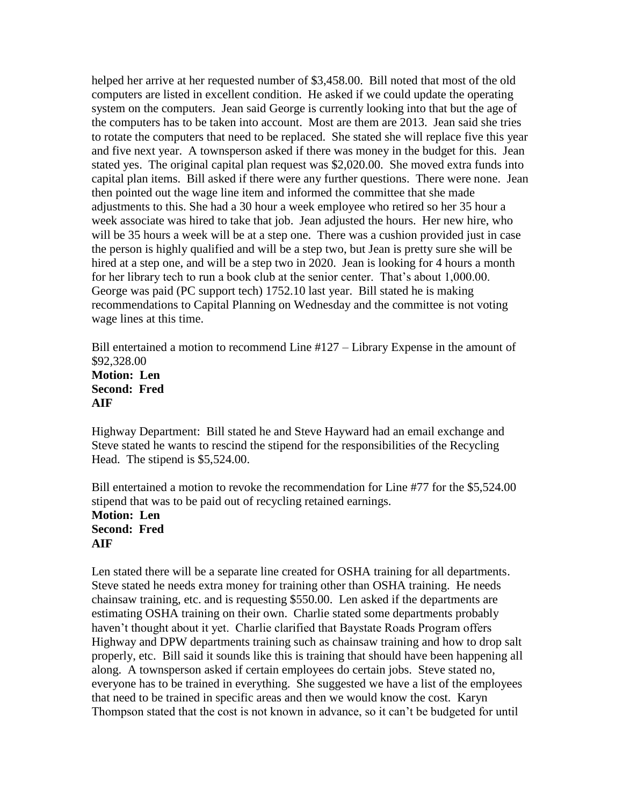helped her arrive at her requested number of \$3,458.00. Bill noted that most of the old computers are listed in excellent condition. He asked if we could update the operating system on the computers. Jean said George is currently looking into that but the age of the computers has to be taken into account. Most are them are 2013. Jean said she tries to rotate the computers that need to be replaced. She stated she will replace five this year and five next year. A townsperson asked if there was money in the budget for this. Jean stated yes. The original capital plan request was \$2,020.00. She moved extra funds into capital plan items. Bill asked if there were any further questions. There were none. Jean then pointed out the wage line item and informed the committee that she made adjustments to this. She had a 30 hour a week employee who retired so her 35 hour a week associate was hired to take that job. Jean adjusted the hours. Her new hire, who will be 35 hours a week will be at a step one. There was a cushion provided just in case the person is highly qualified and will be a step two, but Jean is pretty sure she will be hired at a step one, and will be a step two in 2020. Jean is looking for 4 hours a month for her library tech to run a book club at the senior center. That's about 1,000.00. George was paid (PC support tech) 1752.10 last year. Bill stated he is making recommendations to Capital Planning on Wednesday and the committee is not voting wage lines at this time.

Bill entertained a motion to recommend Line #127 – Library Expense in the amount of \$92,328.00 **Motion: Len Second: Fred AIF**

Highway Department: Bill stated he and Steve Hayward had an email exchange and Steve stated he wants to rescind the stipend for the responsibilities of the Recycling Head. The stipend is \$5,524.00.

Bill entertained a motion to revoke the recommendation for Line #77 for the \$5,524.00 stipend that was to be paid out of recycling retained earnings. **Motion: Len Second: Fred AIF**

Len stated there will be a separate line created for OSHA training for all departments. Steve stated he needs extra money for training other than OSHA training. He needs chainsaw training, etc. and is requesting \$550.00. Len asked if the departments are estimating OSHA training on their own. Charlie stated some departments probably haven't thought about it yet. Charlie clarified that Baystate Roads Program offers Highway and DPW departments training such as chainsaw training and how to drop salt properly, etc. Bill said it sounds like this is training that should have been happening all along. A townsperson asked if certain employees do certain jobs. Steve stated no, everyone has to be trained in everything. She suggested we have a list of the employees that need to be trained in specific areas and then we would know the cost. Karyn Thompson stated that the cost is not known in advance, so it can't be budgeted for until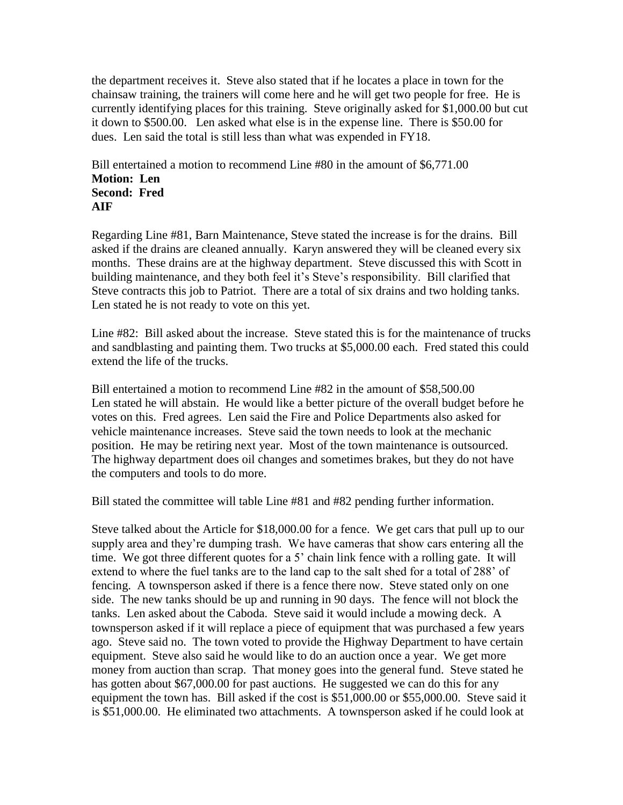the department receives it. Steve also stated that if he locates a place in town for the chainsaw training, the trainers will come here and he will get two people for free. He is currently identifying places for this training. Steve originally asked for \$1,000.00 but cut it down to \$500.00. Len asked what else is in the expense line. There is \$50.00 for dues. Len said the total is still less than what was expended in FY18.

Bill entertained a motion to recommend Line #80 in the amount of \$6,771.00 **Motion: Len Second: Fred AIF**

Regarding Line #81, Barn Maintenance, Steve stated the increase is for the drains. Bill asked if the drains are cleaned annually. Karyn answered they will be cleaned every six months. These drains are at the highway department. Steve discussed this with Scott in building maintenance, and they both feel it's Steve's responsibility. Bill clarified that Steve contracts this job to Patriot. There are a total of six drains and two holding tanks. Len stated he is not ready to vote on this yet.

Line #82: Bill asked about the increase. Steve stated this is for the maintenance of trucks and sandblasting and painting them. Two trucks at \$5,000.00 each. Fred stated this could extend the life of the trucks.

Bill entertained a motion to recommend Line #82 in the amount of \$58,500.00 Len stated he will abstain. He would like a better picture of the overall budget before he votes on this. Fred agrees. Len said the Fire and Police Departments also asked for vehicle maintenance increases. Steve said the town needs to look at the mechanic position. He may be retiring next year. Most of the town maintenance is outsourced. The highway department does oil changes and sometimes brakes, but they do not have the computers and tools to do more.

Bill stated the committee will table Line #81 and #82 pending further information.

Steve talked about the Article for \$18,000.00 for a fence. We get cars that pull up to our supply area and they're dumping trash. We have cameras that show cars entering all the time. We got three different quotes for a 5' chain link fence with a rolling gate. It will extend to where the fuel tanks are to the land cap to the salt shed for a total of 288' of fencing. A townsperson asked if there is a fence there now. Steve stated only on one side. The new tanks should be up and running in 90 days. The fence will not block the tanks. Len asked about the Caboda. Steve said it would include a mowing deck. A townsperson asked if it will replace a piece of equipment that was purchased a few years ago. Steve said no. The town voted to provide the Highway Department to have certain equipment. Steve also said he would like to do an auction once a year. We get more money from auction than scrap. That money goes into the general fund. Steve stated he has gotten about \$67,000.00 for past auctions. He suggested we can do this for any equipment the town has. Bill asked if the cost is \$51,000.00 or \$55,000.00. Steve said it is \$51,000.00. He eliminated two attachments. A townsperson asked if he could look at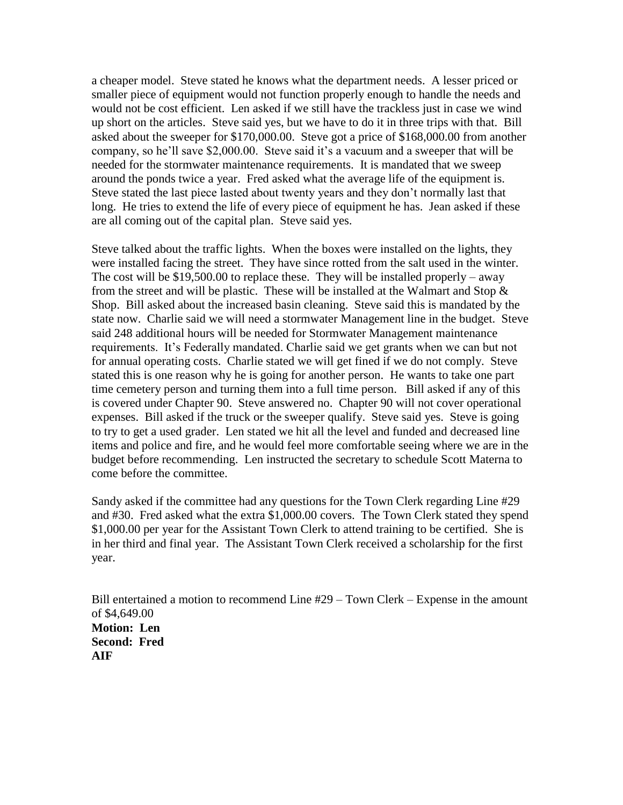a cheaper model. Steve stated he knows what the department needs. A lesser priced or smaller piece of equipment would not function properly enough to handle the needs and would not be cost efficient. Len asked if we still have the trackless just in case we wind up short on the articles. Steve said yes, but we have to do it in three trips with that. Bill asked about the sweeper for \$170,000.00. Steve got a price of \$168,000.00 from another company, so he'll save \$2,000.00. Steve said it's a vacuum and a sweeper that will be needed for the stormwater maintenance requirements. It is mandated that we sweep around the ponds twice a year. Fred asked what the average life of the equipment is. Steve stated the last piece lasted about twenty years and they don't normally last that long. He tries to extend the life of every piece of equipment he has. Jean asked if these are all coming out of the capital plan. Steve said yes.

Steve talked about the traffic lights. When the boxes were installed on the lights, they were installed facing the street. They have since rotted from the salt used in the winter. The cost will be  $$19,500.00$  to replace these. They will be installed properly – away from the street and will be plastic. These will be installed at the Walmart and Stop  $\&$ Shop. Bill asked about the increased basin cleaning. Steve said this is mandated by the state now. Charlie said we will need a stormwater Management line in the budget. Steve said 248 additional hours will be needed for Stormwater Management maintenance requirements. It's Federally mandated. Charlie said we get grants when we can but not for annual operating costs. Charlie stated we will get fined if we do not comply. Steve stated this is one reason why he is going for another person. He wants to take one part time cemetery person and turning them into a full time person. Bill asked if any of this is covered under Chapter 90. Steve answered no. Chapter 90 will not cover operational expenses. Bill asked if the truck or the sweeper qualify. Steve said yes. Steve is going to try to get a used grader. Len stated we hit all the level and funded and decreased line items and police and fire, and he would feel more comfortable seeing where we are in the budget before recommending. Len instructed the secretary to schedule Scott Materna to come before the committee.

Sandy asked if the committee had any questions for the Town Clerk regarding Line #29 and #30. Fred asked what the extra \$1,000.00 covers. The Town Clerk stated they spend \$1,000.00 per year for the Assistant Town Clerk to attend training to be certified. She is in her third and final year. The Assistant Town Clerk received a scholarship for the first year.

Bill entertained a motion to recommend Line #29 – Town Clerk – Expense in the amount of \$4,649.00 **Motion: Len Second: Fred AIF**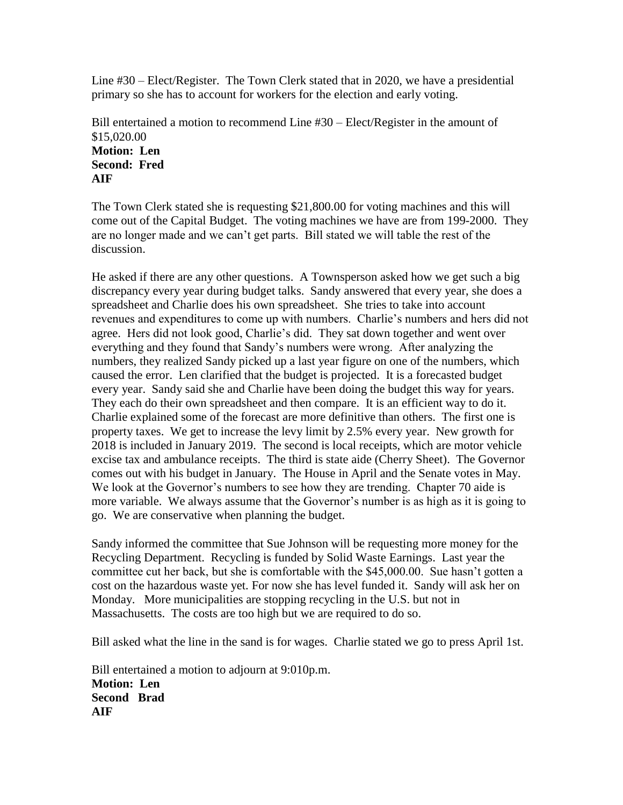Line #30 – Elect/Register. The Town Clerk stated that in 2020, we have a presidential primary so she has to account for workers for the election and early voting.

Bill entertained a motion to recommend Line #30 – Elect/Register in the amount of \$15,020.00 **Motion: Len Second: Fred AIF**

The Town Clerk stated she is requesting \$21,800.00 for voting machines and this will come out of the Capital Budget. The voting machines we have are from 199-2000. They are no longer made and we can't get parts. Bill stated we will table the rest of the discussion.

He asked if there are any other questions. A Townsperson asked how we get such a big discrepancy every year during budget talks. Sandy answered that every year, she does a spreadsheet and Charlie does his own spreadsheet. She tries to take into account revenues and expenditures to come up with numbers. Charlie's numbers and hers did not agree. Hers did not look good, Charlie's did. They sat down together and went over everything and they found that Sandy's numbers were wrong. After analyzing the numbers, they realized Sandy picked up a last year figure on one of the numbers, which caused the error. Len clarified that the budget is projected. It is a forecasted budget every year. Sandy said she and Charlie have been doing the budget this way for years. They each do their own spreadsheet and then compare. It is an efficient way to do it. Charlie explained some of the forecast are more definitive than others. The first one is property taxes. We get to increase the levy limit by 2.5% every year. New growth for 2018 is included in January 2019. The second is local receipts, which are motor vehicle excise tax and ambulance receipts. The third is state aide (Cherry Sheet). The Governor comes out with his budget in January. The House in April and the Senate votes in May. We look at the Governor's numbers to see how they are trending. Chapter 70 aide is more variable. We always assume that the Governor's number is as high as it is going to go. We are conservative when planning the budget.

Sandy informed the committee that Sue Johnson will be requesting more money for the Recycling Department. Recycling is funded by Solid Waste Earnings. Last year the committee cut her back, but she is comfortable with the \$45,000.00. Sue hasn't gotten a cost on the hazardous waste yet. For now she has level funded it. Sandy will ask her on Monday. More municipalities are stopping recycling in the U.S. but not in Massachusetts. The costs are too high but we are required to do so.

Bill asked what the line in the sand is for wages. Charlie stated we go to press April 1st.

Bill entertained a motion to adjourn at 9:010p.m. **Motion: Len Second Brad AIF**